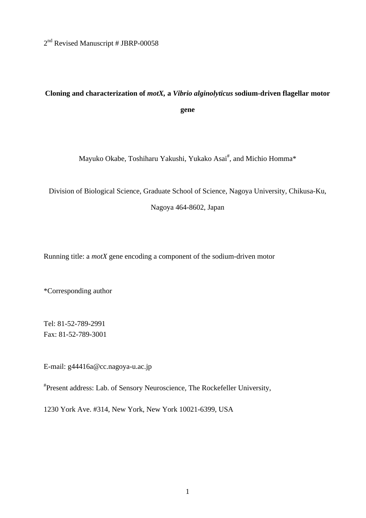2<sup>nd</sup> Revised Manuscript # JBRP-00058

# **Cloning and characterization of** *motX,* **a** *Vibrio alginolyticus* **sodium-driven flagellar motor gene**

Mayuko Okabe, Toshiharu Yakushi, Yukako Asai<sup>#</sup>, and Michio Homma\*

Division of Biological Science, Graduate School of Science, Nagoya University, Chikusa-Ku,

Nagoya 464-8602, Japan

Running title: a *motX* gene encoding a component of the sodium-driven motor

\*Corresponding author

Tel: 81-52-789-2991 Fax: 81-52-789-3001

E-mail: g44416a@cc.nagoya-u.ac.jp

# Present address: Lab. of Sensory Neuroscience, The Rockefeller University,

1230 York Ave. #314, New York, New York 10021-6399, USA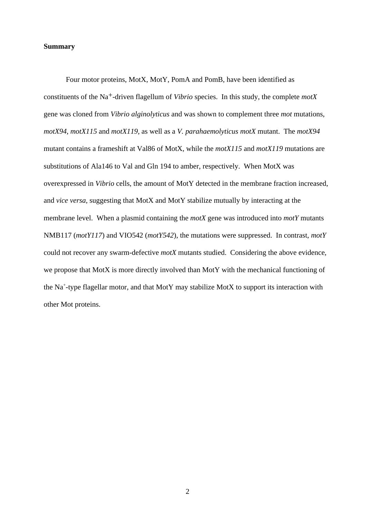# **Summary**

Four motor proteins, MotX, MotY, PomA and PomB, have been identified as constituents of the Na+-driven flagellum of *Vibrio* species. In this study, the complete *motX* gene was cloned from *Vibrio alginolyticus* and was shown to complement three *mot* mutations, *motX94*, *motX115* and *motX119*, as well as a *V. parahaemolyticus motX* mutant. The *motX94* mutant contains a frameshift at Val86 of MotX, while the *motX115* and *motX119* mutations are substitutions of Ala146 to Val and Gln 194 to amber, respectively. When MotX was overexpressed in *Vibrio* cells, the amount of MotY detected in the membrane fraction increased, and *vice versa*, suggesting that MotX and MotY stabilize mutually by interacting at the membrane level. When a plasmid containing the *motX* gene was introduced into *motY* mutants NMB117 (*motY117*) and VIO542 (*motY542*), the mutations were suppressed. In contrast, *motY* could not recover any swarm-defective *motX* mutants studied. Considering the above evidence, we propose that MotX is more directly involved than MotY with the mechanical functioning of the Na<sup>+</sup>-type flagellar motor, and that MotY may stabilize MotX to support its interaction with other Mot proteins.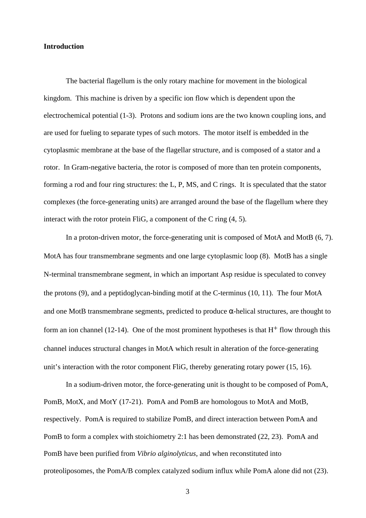# **Introduction**

The bacterial flagellum is the only rotary machine for movement in the biological kingdom. This machine is driven by a specific ion flow which is dependent upon the electrochemical potential (1-3). Protons and sodium ions are the two known coupling ions, and are used for fueling to separate types of such motors. The motor itself is embedded in the cytoplasmic membrane at the base of the flagellar structure, and is composed of a stator and a rotor. In Gram-negative bacteria, the rotor is composed of more than ten protein components, forming a rod and four ring structures: the L, P, MS, and C rings. It is speculated that the stator complexes (the force-generating units) are arranged around the base of the flagellum where they interact with the rotor protein FliG, a component of the C ring (4, 5).

In a proton-driven motor, the force-generating unit is composed of MotA and MotB (6, 7). MotA has four transmembrane segments and one large cytoplasmic loop (8). MotB has a single N-terminal transmembrane segment, in which an important Asp residue is speculated to convey the protons (9), and a peptidoglycan-binding motif at the C-terminus (10, 11). The four MotA and one MotB transmembrane segments, predicted to produce -helical structures, are thought to form an ion channel (12-14). One of the most prominent hypotheses is that  $H^+$  flow through this channel induces structural changes in MotA which result in alteration of the force-generating unit's interaction with the rotor component FliG, thereby generating rotary power (15, 16).

In a sodium-driven motor, the force-generating unit is thought to be composed of PomA, PomB, MotX, and MotY (17-21). PomA and PomB are homologous to MotA and MotB, respectively. PomA is required to stabilize PomB, and direct interaction between PomA and PomB to form a complex with stoichiometry 2:1 has been demonstrated (22, 23). PomA and PomB have been purified from *Vibrio alginolyticus*, and when reconstituted into proteoliposomes, the PomA/B complex catalyzed sodium influx while PomA alone did not (23).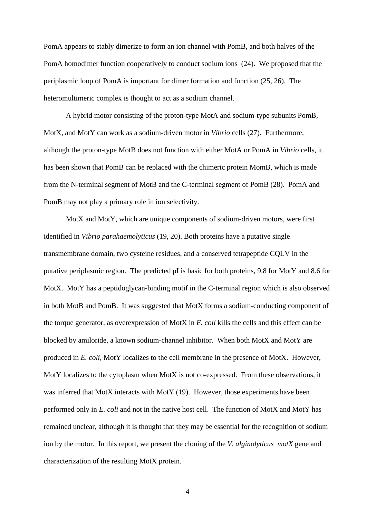PomA appears to stably dimerize to form an ion channel with PomB, and both halves of the PomA homodimer function cooperatively to conduct sodium ions (24). We proposed that the periplasmic loop of PomA is important for dimer formation and function (25, 26). The heteromultimeric complex is thought to act as a sodium channel.

A hybrid motor consisting of the proton-type MotA and sodium-type subunits PomB, MotX, and MotY can work as a sodium-driven motor in *Vibrio* cells (27). Furthermore, although the proton-type MotB does not function with either MotA or PomA in *Vibrio* cells, it has been shown that PomB can be replaced with the chimeric protein MomB, which is made from the N-terminal segment of MotB and the C-terminal segment of PomB (28). PomA and PomB may not play a primary role in ion selectivity.

MotX and MotY, which are unique components of sodium-driven motors, were first identified in *Vibrio parahaemolyticus* (19, 20). Both proteins have a putative single transmembrane domain, two cysteine residues, and a conserved tetrapeptide CQLV in the putative periplasmic region. The predicted pI is basic for both proteins, 9.8 for MotY and 8.6 for MotX. MotY has a peptidoglycan-binding motif in the C-terminal region which is also observed in both MotB and PomB. It was suggested that MotX forms a sodium-conducting component of the torque generator, as overexpression of MotX in *E. coli* kills the cells and this effect can be blocked by amiloride, a known sodium-channel inhibitor. When both MotX and MotY are produced in *E. coli*, MotY localizes to the cell membrane in the presence of MotX. However, MotY localizes to the cytoplasm when MotX is not co-expressed. From these observations, it was inferred that MotX interacts with MotY (19). However, those experiments have been performed only in *E. coli* and not in the native host cell. The function of MotX and MotY has remained unclear, although it is thought that they may be essential for the recognition of sodium ion by the motor. In this report, we present the cloning of the *V. alginolyticus motX* gene and characterization of the resulting MotX protein.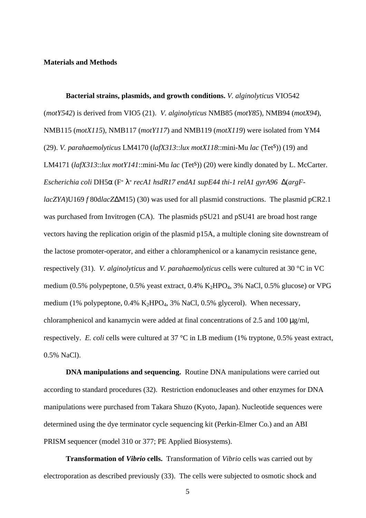#### **Materials and Methods**

**Bacterial strains, plasmids, and growth conditions.** *V. alginolyticus* VIO542 (*motY542*) is derived from VIO5 (21). *V. alginolyticus* NMB85 (*motY85*), NMB94 (*motX94*), NMB115 (*motX115*), NMB117 (*motY117*) and NMB119 (*motX119*) were isolated from YM4 (29). *V. parahaemolyticus* LM4170 (*lafX313*::*lux motX118*::mini-Mu *lac* (Tets)) (19) and LM4171 (*lafX313*::*lux motY141*::mini-Mu *lac* (Tets)) (20) were kindly donated by L. McCarter. *Escherichia coli* DH5 (F- - *recA1 hsdR17 endA1 supE44 thi-1 relA1 gyrA96* (*argFlacZYA*)U169 *f* 80d*lacZ* M15) (30) was used for all plasmid constructions. The plasmid pCR2.1 was purchased from Invitrogen (CA). The plasmids pSU21 and pSU41 are broad host range vectors having the replication origin of the plasmid p15A, a multiple cloning site downstream of the lactose promoter-operator, and either a chloramphenicol or a kanamycin resistance gene, respectively (31). *V. alginolyticus* and *V. parahaemolyticus* cells were cultured at 30 °C in VC medium (0.5% polypeptone, 0.5% yeast extract, 0.4%  $K_2HPO_4$ , 3% NaCl, 0.5% glucose) or VPG medium (1% polypeptone,  $0.4\%$  K<sub>2</sub>HPO<sub>4</sub>, 3% NaCl, 0.5% glycerol). When necessary, chloramphenicol and kanamycin were added at final concentrations of 2.5 and 100 μg/ml, respectively. *E. coli* cells were cultured at 37 °C in LB medium (1% tryptone, 0.5% yeast extract, 0.5% NaCl).

**DNA manipulations and sequencing.** Routine DNA manipulations were carried out according to standard procedures (32). Restriction endonucleases and other enzymes for DNA manipulations were purchased from Takara Shuzo (Kyoto, Japan). Nucleotide sequences were determined using the dye terminator cycle sequencing kit (Perkin-Elmer Co.) and an ABI PRISM sequencer (model 310 or 377; PE Applied Biosystems).

**Transformation of** *Vibrio* **cells.** Transformation of *Vibrio* cells was carried out by electroporation as described previously (33). The cells were subjected to osmotic shock and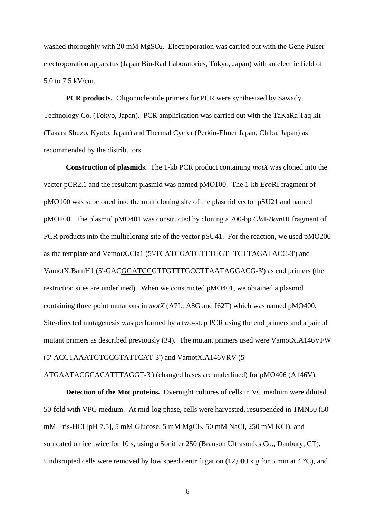washed thoroughly with 20 mM MgSO<sub>4</sub>. Electroporation was carried out with the Gene Pulser electroporation apparatus (Japan Bio-Rad Laboratories, Tokyo, Japan) with an electric field of 5.0 to 7.5 kV/cm.

**PCR products.** Oligonucleotide primers for PCR were synthesized by Sawady Technology Co. (Tokyo, Japan). PCR amplification was carried out with the TaKaRa Taq kit (Takara Shuzo, Kyoto, Japan) and Thermal Cycler (Perkin-Elmer Japan, Chiba, Japan) as recommended by the distributors.

**Construction of plasmids.** The 1-kb PCR product containing *motX* was cloned into the vector pCR2.1 and the resultant plasmid was named pMO100. The 1-kb *Eco*RI fragment of pMO100 was subcloned into the multicloning site of the plasmid vector pSU21 and named pMO200. The plasmid pMO401 was constructed by cloning a 700-bp *Cla*I-*Bam*HI fragment of PCR products into the multicloning site of the vector pSU41. For the reaction, we used pMO200 as the template and VamotX.Cla1 (5'-TCATCGATGTTTGGTTTCTTAGATACC-3') and VamotX.BamH1 (5'-GACGGATCCGTTGTTTGCCTTAATAGGACG-3') as end primers (the restriction sites are underlined). When we constructed pMO401, we obtained a plasmid containing three point mutations in *motX* (A7L, A8G and I62T) which was named pMO400. Site-directed mutagenesis was performed by a two-step PCR using the end primers and a pair of mutant primers as described previously (34). The mutant primers used were VamotX.A146VFW (5'-ACCTAAATGTGCGTATTCAT-3') and VamotX.A146VRV (5'-

ATGAATACGCACATTTAGGT-3') (changed bases are underlined) for pMO406 (A146V).

**Detection of the Mot proteins.** Overnight cultures of cells in VC medium were diluted 50-fold with VPG medium. At mid-log phase, cells were harvested, resuspended in TMN50 (50 mM Tris-HCl [pH 7.5], 5 mM Glucose, 5 mM MgCl<sub>2</sub>, 50 mM NaCl, 250 mM KCl), and sonicated on ice twice for 10 s, using a Sonifier 250 (Branson Ultrasonics Co., Danbury, CT). Undisrupted cells were removed by low speed centrifugation (12,000 x *g* for 5 min at 4 °C), and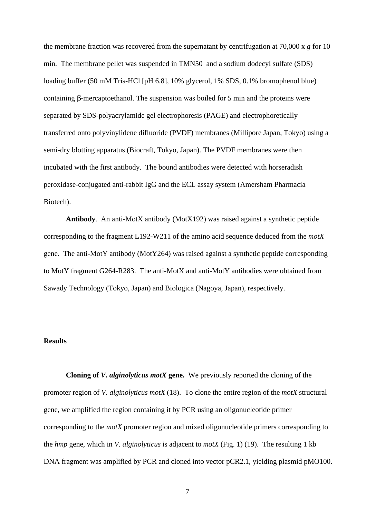the membrane fraction was recovered from the supernatant by centrifugation at 70,000 x *g* for 10 min. The membrane pellet was suspended in TMN50 and a sodium dodecyl sulfate (SDS) loading buffer (50 mM Tris-HCl [pH 6.8], 10% glycerol, 1% SDS, 0.1% bromophenol blue) containing -mercaptoethanol. The suspension was boiled for 5 min and the proteins were separated by SDS-polyacrylamide gel electrophoresis (PAGE) and electrophoretically transferred onto polyvinylidene difluoride (PVDF) membranes (Millipore Japan, Tokyo) using a semi-dry blotting apparatus (Biocraft, Tokyo, Japan). The PVDF membranes were then incubated with the first antibody. The bound antibodies were detected with horseradish peroxidase-conjugated anti-rabbit IgG and the ECL assay system (Amersham Pharmacia Biotech).

**Antibody**. An anti-MotX antibody (MotX192) was raised against a synthetic peptide corresponding to the fragment L192-W211 of the amino acid sequence deduced from the *motX* gene. The anti-MotY antibody (MotY264) was raised against a synthetic peptide corresponding to MotY fragment G264-R283. The anti-MotX and anti-MotY antibodies were obtained from Sawady Technology (Tokyo, Japan) and Biologica (Nagoya, Japan), respectively.

### **Results**

**Cloning of** *V. alginolyticus motX* **gene.** We previously reported the cloning of the promoter region of *V. alginolyticus motX* (18). To clone the entire region of the *motX* structural gene, we amplified the region containing it by PCR using an oligonucleotide primer corresponding to the *motX* promoter region and mixed oligonucleotide primers corresponding to the *hmp* gene, which in *V. alginolyticus* is adjacent to *motX* (Fig. 1) (19). The resulting 1 kb DNA fragment was amplified by PCR and cloned into vector pCR2.1, yielding plasmid pMO100.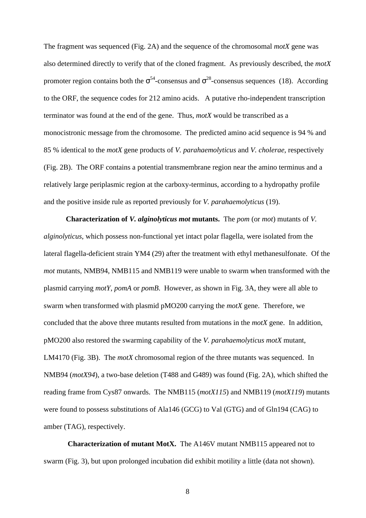The fragment was sequenced (Fig. 2A) and the sequence of the chromosomal *motX* gene was also determined directly to verify that of the cloned fragment. As previously described, the *motX* promoter region contains both the  $54$ -consensus and  $28$ -consensus sequences (18). According to the ORF, the sequence codes for 212 amino acids. A putative rho-independent transcription terminator was found at the end of the gene. Thus, *motX* would be transcribed as a monocistronic message from the chromosome. The predicted amino acid sequence is 94 % and 85 % identical to the *motX* gene products of *V. parahaemolyticus* and *V. cholerae*, respectively (Fig. 2B). The ORF contains a potential transmembrane region near the amino terminus and a relatively large periplasmic region at the carboxy-terminus, according to a hydropathy profile and the positive inside rule as reported previously for *V. parahaemolyticus* (19).

**Characterization of** *V. alginolyticus mot* **mutants.** The *pom* (or *mot*) mutants of *V. alginolyticus*, which possess non-functional yet intact polar flagella, were isolated from the lateral flagella-deficient strain YM4 (29) after the treatment with ethyl methanesulfonate. Of the *mot* mutants, NMB94, NMB115 and NMB119 were unable to swarm when transformed with the plasmid carrying *motY*, *pomA* or *pomB*. However, as shown in Fig. 3A, they were all able to swarm when transformed with plasmid pMO200 carrying the *motX* gene. Therefore, we concluded that the above three mutants resulted from mutations in the *motX* gene. In addition, pMO200 also restored the swarming capability of the *V. parahaemolyticus motX* mutant, LM4170 (Fig. 3B). The *motX* chromosomal region of the three mutants was sequenced. In NMB94 (*motX94*), a two-base deletion (T488 and G489) was found (Fig. 2A), which shifted the reading frame from Cys87 onwards. The NMB115 (*motX115*) and NMB119 (*motX119*) mutants were found to possess substitutions of Ala146 (GCG) to Val (GTG) and of Gln194 (CAG) to amber (TAG), respectively.

**Characterization of mutant MotX.** The A146V mutant NMB115 appeared not to swarm (Fig. 3), but upon prolonged incubation did exhibit motility a little (data not shown).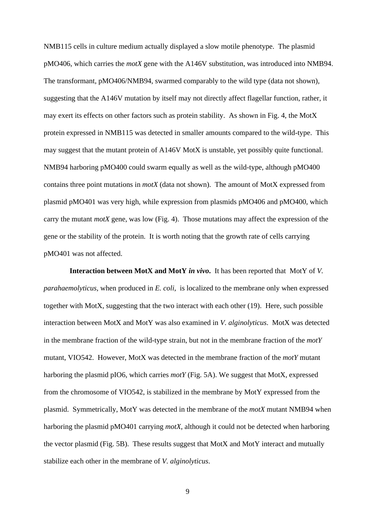NMB115 cells in culture medium actually displayed a slow motile phenotype. The plasmid pMO406, which carries the *motX* gene with the A146V substitution, was introduced into NMB94. The transformant, pMO406/NMB94, swarmed comparably to the wild type (data not shown), suggesting that the A146V mutation by itself may not directly affect flagellar function, rather, it may exert its effects on other factors such as protein stability. As shown in Fig. 4, the MotX protein expressed in NMB115 was detected in smaller amounts compared to the wild-type. This may suggest that the mutant protein of A146V MotX is unstable, yet possibly quite functional. NMB94 harboring pMO400 could swarm equally as well as the wild-type, although pMO400 contains three point mutations in *motX* (data not shown). The amount of MotX expressed from plasmid pMO401 was very high, while expression from plasmids pMO406 and pMO400, which carry the mutant *motX* gene, was low (Fig. 4). Those mutations may affect the expression of the gene or the stability of the protein. It is worth noting that the growth rate of cells carrying pMO401 was not affected.

**Interaction between MotX and MotY** *in vivo***.** It has been reported that MotY of *V. parahaemolyticus*, when produced in *E. coli*, is localized to the membrane only when expressed together with MotX, suggesting that the two interact with each other (19). Here, such possible interaction between MotX and MotY was also examined in *V. alginolyticus*. MotX was detected in the membrane fraction of the wild-type strain, but not in the membrane fraction of the *motY* mutant, VIO542. However, MotX was detected in the membrane fraction of the *motY* mutant harboring the plasmid pIO6, which carries *motY* (Fig. 5A). We suggest that MotX, expressed from the chromosome of VIO542, is stabilized in the membrane by MotY expressed from the plasmid. Symmetrically, MotY was detected in the membrane of the *motX* mutant NMB94 when harboring the plasmid pMO401 carrying *motX*, although it could not be detected when harboring the vector plasmid (Fig. 5B). These results suggest that MotX and MotY interact and mutually stabilize each other in the membrane of *V. alginolyticus*.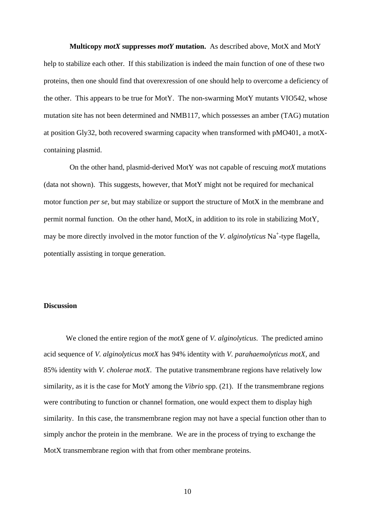**Multicopy** *motX* **suppresses** *motY* **mutation.** As described above, MotX and MotY help to stabilize each other. If this stabilization is indeed the main function of one of these two proteins, then one should find that overexression of one should help to overcome a deficiency of the other. This appears to be true for MotY. The non-swarming MotY mutants VIO542, whose mutation site has not been determined and NMB117, which possesses an amber (TAG) mutation at position Gly32, both recovered swarming capacity when transformed with pMO401, a motXcontaining plasmid.

On the other hand, plasmid-derived MotY was not capable of rescuing *motX* mutations (data not shown). This suggests, however, that MotY might not be required for mechanical motor function *per se*, but may stabilize or support the structure of MotX in the membrane and permit normal function. On the other hand, MotX, in addition to its role in stabilizing MotY, may be more directly involved in the motor function of the *V. alginolyticus* Na<sup>+</sup>-type flagella, potentially assisting in torque generation.

#### **Discussion**

We cloned the entire region of the *motX* gene of *V. alginolyticus*. The predicted amino acid sequence of *V. alginolyticus motX* has 94% identity with *V. parahaemolyticus motX*, and 85% identity with *V. cholerae motX*. The putative transmembrane regions have relatively low similarity, as it is the case for MotY among the *Vibrio* spp. (21). If the transmembrane regions were contributing to function or channel formation, one would expect them to display high similarity. In this case, the transmembrane region may not have a special function other than to simply anchor the protein in the membrane. We are in the process of trying to exchange the MotX transmembrane region with that from other membrane proteins.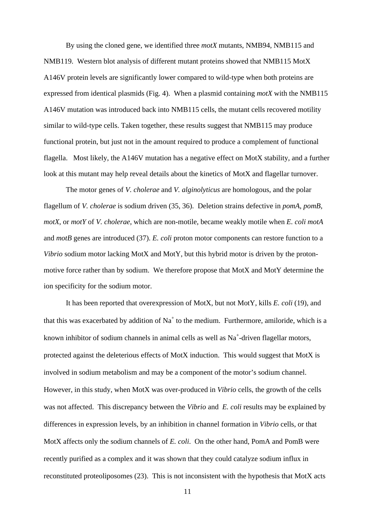By using the cloned gene, we identified three *motX* mutants, NMB94, NMB115 and NMB119. Western blot analysis of different mutant proteins showed that NMB115 MotX A146V protein levels are significantly lower compared to wild-type when both proteins are expressed from identical plasmids (Fig. 4). When a plasmid containing *motX* with the NMB115 A146V mutation was introduced back into NMB115 cells, the mutant cells recovered motility similar to wild-type cells. Taken together, these results suggest that NMB115 may produce functional protein, but just not in the amount required to produce a complement of functional flagella. Most likely, the A146V mutation has a negative effect on MotX stability, and a further look at this mutant may help reveal details about the kinetics of MotX and flagellar turnover.

The motor genes of *V. cholerae* and *V. alginolyticus* are homologous, and the polar flagellum of *V. cholerae* is sodium driven (35, 36). Deletion strains defective in *pomA*, *pomB*, *motX*, or *motY* of *V. cholerae*, which are non-motile, became weakly motile when *E. coli motA* and *motB* genes are introduced (37). *E. coli* proton motor components can restore function to a *Vibrio* sodium motor lacking MotX and MotY, but this hybrid motor is driven by the protonmotive force rather than by sodium. We therefore propose that MotX and MotY determine the ion specificity for the sodium motor.

It has been reported that overexpression of MotX, but not MotY, kills *E. coli* (19), and that this was exacerbated by addition of  $Na<sup>+</sup>$  to the medium. Furthermore, amiloride, which is a known inhibitor of sodium channels in animal cells as well as  $Na<sup>+</sup>$ -driven flagellar motors, protected against the deleterious effects of MotX induction. This would suggest that MotX is involved in sodium metabolism and may be a component of the motor's sodium channel. However, in this study, when MotX was over-produced in *Vibrio* cells, the growth of the cells was not affected. This discrepancy between the *Vibrio* and *E. coli* results may be explained by differences in expression levels, by an inhibition in channel formation in *Vibrio* cells, or that MotX affects only the sodium channels of *E. coli*. On the other hand, PomA and PomB were recently purified as a complex and it was shown that they could catalyze sodium influx in reconstituted proteoliposomes (23). This is not inconsistent with the hypothesis that MotX acts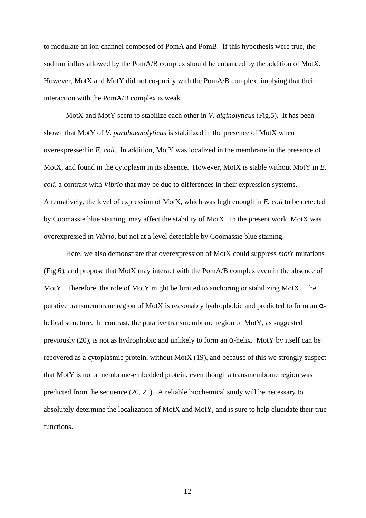to modulate an ion channel composed of PomA and PomB. If this hypothesis were true, the sodium influx allowed by the PomA/B complex should be enhanced by the addition of MotX. However, MotX and MotY did not co-purify with the PomA/B complex, implying that their interaction with the PomA/B complex is weak.

MotX and MotY seem to stabilize each other in *V. alginolyticus* (Fig.5). It has been shown that MotY of *V. parahaemolyticus* is stabilized in the presence of MotX when overexpressed in *E. coli*. In addition, MotY was localized in the membrane in the presence of MotX, and found in the cytoplasm in its absence. However, MotX is stable without MotY in *E. coli*, a contrast with *Vibrio* that may be due to differences in their expression systems. Alternatively, the level of expression of MotX, which was high enough in *E. coli* to be detected by Coomassie blue staining, may affect the stability of MotX. In the present work, MotX was overexpressed in *Vibrio*, but not at a level detectable by Coomassie blue staining.

Here, we also demonstrate that overexpression of MotX could suppress *motY* mutations (Fig.6), and propose that MotX may interact with the PomA/B complex even in the absence of MotY. Therefore, the role of MotY might be limited to anchoring or stabilizing MotX. The putative transmembrane region of MotX is reasonably hydrophobic and predicted to form an helical structure. In contrast, the putative transmembrane region of MotY, as suggested previously (20), is not as hydrophobic and unlikely to form an -helix. MotY by itself can be recovered as a cytoplasmic protein, without MotX (19), and because of this we strongly suspect that MotY is not a membrane-embedded protein, even though a transmembrane region was predicted from the sequence (20, 21). A reliable biochemical study will be necessary to absolutely determine the localization of MotX and MotY, and is sure to help elucidate their true functions.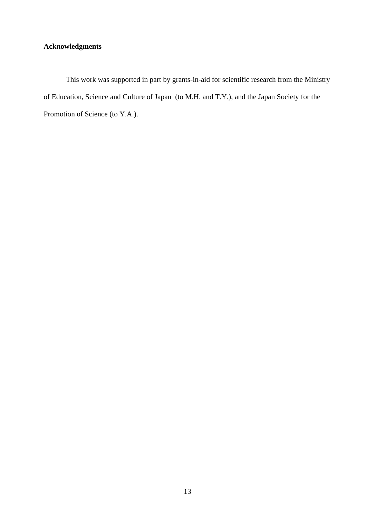# **Acknowledgments**

This work was supported in part by grants-in-aid for scientific research from the Ministry of Education, Science and Culture of Japan (to M.H. and T.Y.), and the Japan Society for the Promotion of Science (to Y.A.).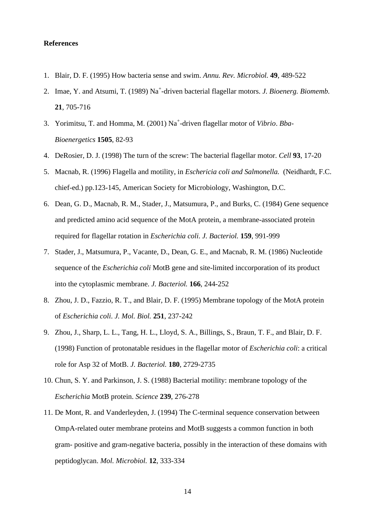#### **References**

- 1. Blair, D. F. (1995) How bacteria sense and swim. *Annu. Rev. Microbiol.* **49**, 489-522
- 2. Imae, Y. and Atsumi, T. (1989) Na<sup>+</sup>-driven bacterial flagellar motors. *J. Bioenerg. Biomemb.* **21**, 705-716
- 3. Yorimitsu, T. and Homma, M. (2001) Na<sup>+</sup> -driven flagellar motor of *Vibrio*. *Bba-Bioenergetics* **1505**, 82-93
- 4. DeRosier, D. J. (1998) The turn of the screw: The bacterial flagellar motor. *Cell* **93**, 17-20
- 5. Macnab, R. (1996) Flagella and motility, in *Eschericia coli and Salmonella.* (Neidhardt, F.C. chief-ed.) pp.123-145, American Society for Microbiology, Washington, D.C.
- 6. Dean, G. D., Macnab, R. M., Stader, J., Matsumura, P., and Burks, C. (1984) Gene sequence and predicted amino acid sequence of the MotA protein, a membrane-associated protein required for flagellar rotation in *Escherichia coli*. *J. Bacteriol.* **159**, 991-999
- 7. Stader, J., Matsumura, P., Vacante, D., Dean, G. E., and Macnab, R. M. (1986) Nucleotide sequence of the *Escherichia coli* MotB gene and site-limited inccorporation of its product into the cytoplasmic membrane. *J. Bacteriol.* **166**, 244-252
- 8. Zhou, J. D., Fazzio, R. T., and Blair, D. F. (1995) Membrane topology of the MotA protein of *Escherichia coli*. *J. Mol. Biol.* **251**, 237-242
- 9. Zhou, J., Sharp, L. L., Tang, H. L., Lloyd, S. A., Billings, S., Braun, T. F., and Blair, D. F. (1998) Function of protonatable residues in the flagellar motor of *Escherichia coli*: a critical role for Asp 32 of MotB. *J. Bacteriol.* **180**, 2729-2735
- 10. Chun, S. Y. and Parkinson, J. S. (1988) Bacterial motility: membrane topology of the *Escherichia* MotB protein. *Science* **239**, 276-278
- 11. De Mont, R. and Vanderleyden, J. (1994) The C-terminal sequence conservation between OmpA-related outer membrane proteins and MotB suggests a common function in both gram- positive and gram-negative bacteria, possibly in the interaction of these domains with peptidoglycan. *Mol. Microbiol.* **12**, 333-334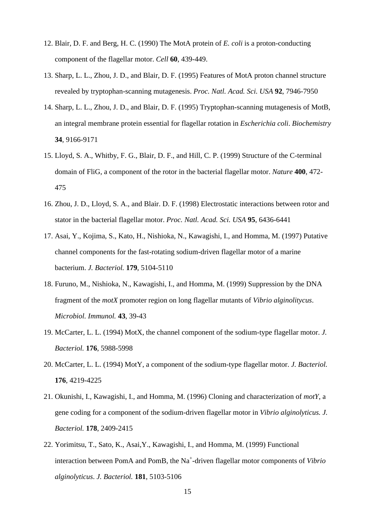- 12. Blair, D. F. and Berg, H. C. (1990) The MotA protein of *E. coli* is a proton-conducting component of the flagellar motor. *Cell* **60**, 439-449.
- 13. Sharp, L. L., Zhou, J. D., and Blair, D. F. (1995) Features of MotA proton channel structure revealed by tryptophan-scanning mutagenesis. *Proc. Natl. Acad. Sci. USA* **92**, 7946-7950
- 14. Sharp, L. L., Zhou, J. D., and Blair, D. F. (1995) Tryptophan-scanning mutagenesis of MotB, an integral membrane protein essential for flagellar rotation in *Escherichia coli*. *Biochemistry* **34**, 9166-9171
- 15. Lloyd, S. A., Whitby, F. G., Blair, D. F., and Hill, C. P. (1999) Structure of the C-terminal domain of FliG, a component of the rotor in the bacterial flagellar motor. *Nature* **400**, 472- 475
- 16. Zhou, J. D., Lloyd, S. A., and Blair. D. F. (1998) Electrostatic interactions between rotor and stator in the bacterial flagellar motor. *Proc. Natl. Acad. Sci. USA* **95**, 6436-6441
- 17. Asai, Y., Kojima, S., Kato, H., Nishioka, N., Kawagishi, I., and Homma, M. (1997) Putative channel components for the fast-rotating sodium-driven flagellar motor of a marine bacterium. *J. Bacteriol.* **179**, 5104-5110
- 18. Furuno, M., Nishioka, N., Kawagishi, I., and Homma, M. (1999) Suppression by the DNA fragment of the *motX* promoter region on long flagellar mutants of *Vibrio alginolitycus*. *Microbiol. Immunol.* **43**, 39-43
- 19. McCarter, L. L. (1994) MotX, the channel component of the sodium-type flagellar motor. *J. Bacteriol.* **176**, 5988-5998
- 20. McCarter, L. L. (1994) MotY, a component of the sodium-type flagellar motor. *J. Bacteriol.* **176**, 4219-4225
- 21. Okunishi, I., Kawagishi, I., and Homma, M. (1996) Cloning and characterization of *motY*, a gene coding for a component of the sodium-driven flagellar motor in *Vibrio alginolyticus. J. Bacteriol.* **178**, 2409-2415
- 22. Yorimitsu, T., Sato, K., Asai,Y., Kawagishi, I., and Homma, M. (1999) Functional interaction between PomA and PomB, the Na<sup>+</sup> -driven flagellar motor components of *Vibrio alginolyticus*. *J. Bacteriol.* **181**, 5103-5106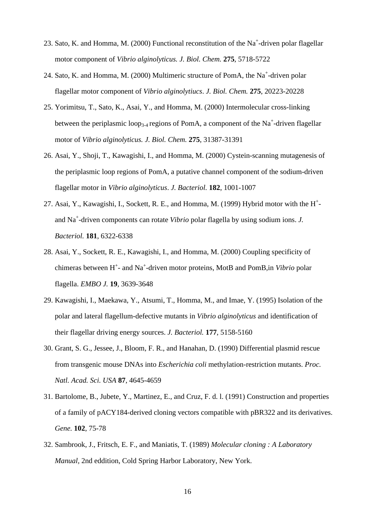- 23. Sato, K. and Homma, M. (2000) Functional reconstitution of the Na<sup>+</sup>-driven polar flagellar motor component of *Vibrio alginolyticus. J. Biol. Chem.* **275**, 5718-5722
- 24. Sato, K. and Homma, M. (2000) Multimeric structure of PomA, the Na<sup>+</sup>-driven polar flagellar motor component of *Vibrio alginolytiucs*. *J. Biol. Chem.* **275**, 20223-20228
- 25. Yorimitsu, T., Sato, K., Asai, Y., and Homma, M. (2000) Intermolecular cross-linking between the periplasmic loop<sub>3-4</sub> regions of PomA, a component of the Na<sup>+</sup>-driven flagellar motor of *Vibrio alginolyticus. J. Biol. Chem.* **275**, 31387-31391
- 26. Asai, Y., Shoji, T., Kawagishi, I., and Homma, M. (2000) Cystein-scanning mutagenesis of the periplasmic loop regions of PomA, a putative channel component of the sodium-driven flagellar motor in *Vibrio alginolyticus*. *J. Bacteriol.* **182**, 1001-1007
- 27. Asai, Y., Kawagishi, I., Sockett, R. E., and Homma, M. (1999) Hybrid motor with the H<sup>+</sup>and Na<sup>+</sup> -driven components can rotate *Vibrio* polar flagella by using sodium ions. *J. Bacteriol.* **181**, 6322-6338
- 28. Asai, Y., Sockett, R. E., Kawagishi, I., and Homma, M. (2000) Coupling specificity of chimeras between H<sup>+</sup>- and Na<sup>+</sup>-driven motor proteins, MotB and PomB, in *Vibrio* polar flagella. *EMBO J.* **19**, 3639-3648
- 29. Kawagishi, I., Maekawa, Y., Atsumi, T., Homma, M., and Imae, Y. (1995) Isolation of the polar and lateral flagellum-defective mutants in *Vibrio alginolyticus* and identification of their flagellar driving energy sources. *J. Bacteriol.* **177**, 5158-5160
- 30. Grant, S. G., Jessee, J., Bloom, F. R., and Hanahan, D. (1990) Differential plasmid rescue from transgenic mouse DNAs into *Escherichia coli* methylation-restriction mutants. *Proc. Natl. Acad. Sci. USA* **87**, 4645-4659
- 31. Bartolome, B., Jubete, Y., Martinez, E., and Cruz, F. d. l. (1991) Construction and properties of a family of pACY184-derived cloning vectors compatible with pBR322 and its derivatives. *Gene.* **102**, 75-78
- 32. Sambrook, J., Fritsch, E. F., and Maniatis, T. (1989) *Molecular cloning : A Laboratory Manual,* 2nd eddition, Cold Spring Harbor Laboratory, New York.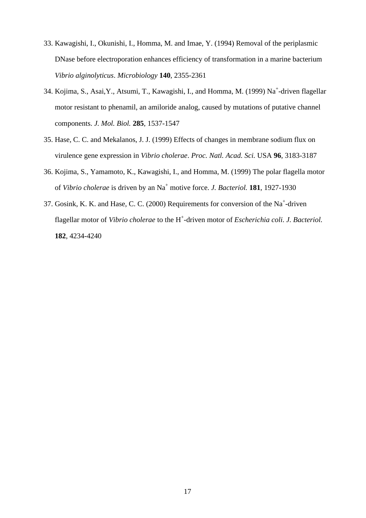- 33. Kawagishi, I., Okunishi, I., Homma, M. and Imae, Y. (1994) Removal of the periplasmic DNase before electroporation enhances efficiency of transformation in a marine bacterium *Vibrio alginolyticus*. *Microbiology* **140**, 2355-2361
- 34. Kojima, S., Asai, Y., Atsumi, T., Kawagishi, I., and Homma, M. (1999) Na<sup>+</sup>-driven flagellar motor resistant to phenamil, an amiloride analog, caused by mutations of putative channel components. *J. Mol. Biol.* **285**, 1537-1547
- 35. Hase, C. C. and Mekalanos, J. J. (1999) Effects of changes in membrane sodium flux on virulence gene expression in *Vibrio cholerae*. *Proc. Natl. Acad. Sci.* USA **96**, 3183-3187
- 36. Kojima, S., Yamamoto, K., Kawagishi, I., and Homma, M. (1999) The polar flagella motor of *Vibrio cholerae* is driven by an Na<sup>+</sup> motive force. *J. Bacteriol.* **181**, 1927-1930
- 37. Gosink, K. K. and Hase, C. C. (2000) Requirements for conversion of the Na<sup>+</sup>-driven flagellar motor of *Vibrio cholerae* to the H<sup>+</sup>-driven motor of *Escherichia coli*. *J. Bacteriol.* **182**, 4234-4240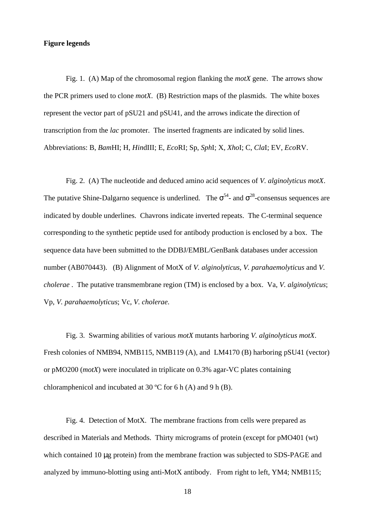#### **Figure legends**

Fig. 1. (A) Map of the chromosomal region flanking the *motX* gene. The arrows show the PCR primers used to clone *motX*. (B) Restriction maps of the plasmids. The white boxes represent the vector part of pSU21 and pSU41, and the arrows indicate the direction of transcription from the *lac* promoter. The inserted fragments are indicated by solid lines. Abbreviations: B, *Bam*HI; H, *Hin*dIII; E, *Eco*RI; Sp, *Sph*I; X, *Xho*I; C, *Cla*I; EV, *Eco*RV.

Fig. 2. (A) The nucleotide and deduced amino acid sequences of *V. alginolyticus motX*. The putative Shine-Dalgarno sequence is underlined. The  $54$ - and  $28$ -consensus sequences are indicated by double underlines. Chavrons indicate inverted repeats. The C-terminal sequence corresponding to the synthetic peptide used for antibody production is enclosed by a box. The sequence data have been submitted to the DDBJ/EMBL/GenBank databases under accession number (AB070443). (B) Alignment of MotX of *V. alginolyticus*, *V. parahaemolyticus* and *V. cholerae* . The putative transmembrane region (TM) is enclosed by a box. Va, *V. alginolyticus*; Vp, *V. parahaemolyticus*; Vc, *V. cholerae*.

Fig. 3. Swarming abilities of various *motX* mutants harboring *V. alginolyticus motX*. Fresh colonies of NMB94, NMB115, NMB119 (A), and LM4170 (B) harboring pSU41 (vector) or pMO200 (*motX*) were inoculated in triplicate on 0.3% agar-VC plates containing chloramphenicol and incubated at 30 ºC for 6 h (A) and 9 h (B).

Fig. 4. Detection of MotX. The membrane fractions from cells were prepared as described in Materials and Methods. Thirty micrograms of protein (except for pMO401 (wt) which contained 10 μg protein) from the membrane fraction was subjected to SDS-PAGE and analyzed by immuno-blotting using anti-MotX antibody. From right to left, YM4; NMB115;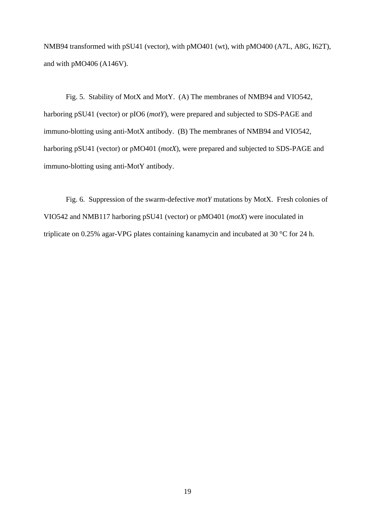NMB94 transformed with pSU41 (vector), with pMO401 (wt), with pMO400 (A7L, A8G, I62T), and with pMO406 (A146V).

Fig. 5. Stability of MotX and MotY. (A) The membranes of NMB94 and VIO542, harboring pSU41 (vector) or pIO6 (*motY*), were prepared and subjected to SDS-PAGE and immuno-blotting using anti-MotX antibody. (B) The membranes of NMB94 and VIO542, harboring pSU41 (vector) or pMO401 (*motX*), were prepared and subjected to SDS-PAGE and immuno-blotting using anti-MotY antibody.

Fig. 6. Suppression of the swarm-defective *motY* mutations by MotX. Fresh colonies of VIO542 and NMB117 harboring pSU41 (vector) or pMO401 (*motX*) were inoculated in triplicate on 0.25% agar-VPG plates containing kanamycin and incubated at 30 °C for 24 h.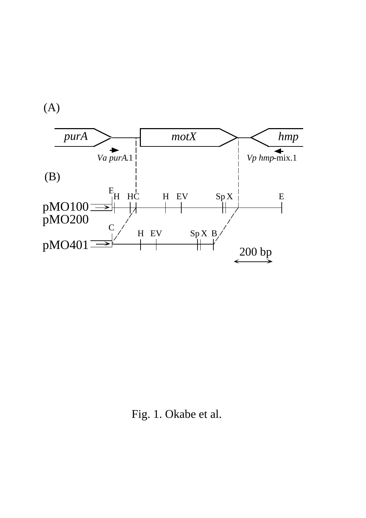(A)



Fig. 1. Okabe et al.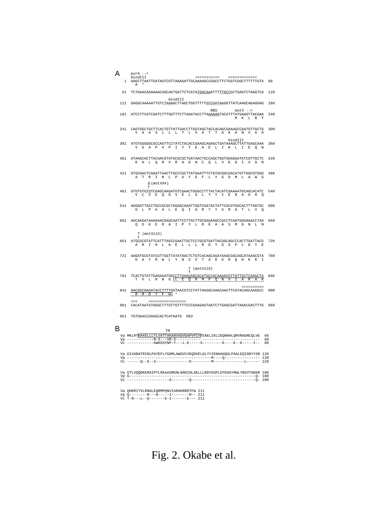| А<br>1. | $purA$ --><br>HindIII<br>>>>>>>>>>>>><br>$\begin{array}{c} \begin{array}{c} < \\ < \end{array} \end{array}$<br>AAGCTTAATTGATAGTCGTTAAAGATTGCAAAAGCCGACCTTCTGGTCGGCTTTTTTGTA | 60  |
|---------|-----------------------------------------------------------------------------------------------------------------------------------------------------------------------------|-----|
|         | A                                                                                                                                                                           |     |
| 61      | TCTGAACAAAAAACGGCAGTGATTCTCATATGGCAAATTTTTGCCGCTGAGTCTAAGTCA                                                                                                                | 120 |
| 121     | HindIII<br>GAGGCAAAAATTGTCTAAAGCTTAGCTGGTTTTTGCCGATAAGGTTATCAAGCAGAGGAG                                                                                                     | 180 |
| 181     | RBS<br>$motX \rightarrow$<br>ATCCTTCATCGATCTTTGGTTTCTTAGATACCTTAAAGAGTACGTTTATGAAGTTACGAA<br>M K L R T                                                                      | 240 |
| 241     | CAGTGGCTGCTTCACTGTTATTGACCTTGGTAGCTACCACAGCGAAAGCCAATGTTGCTG<br>V A A S L L L T L V A T T A K A N V A D                                                                     | 300 |
| 301     | HindIII<br>ATGTGGGGGCCCCAGTTCCTATCTACACCGAAGCAGAGCTGATAAAGCTTATTGAGCAAA<br>V G A P V P I Y T E A E L I K L I E O N                                                          | 360 |
| 361     | ATAAGCACTTACAACGTGTGCGCGCTGATAACTGCCAGCTGGTGGAGGATATCGTTGCTC<br>K H L Q R V R A D N C Q L V E D I V A R                                                                     | 420 |
| 421     | GTGCGACTCGAATTAACTTGCCCGCTTATGAATTTCTGTACGGCGACATGTTGGCGTGGG<br>A T R I N L P A Y E F L Y G D M L A W G                                                                     | 480 |
| 481     | (motX94)<br>GTGTGTGTCGAGCAAGATGTCGAACTGGGCCTTTACTACATCGAAAATGCAGCACATC<br>V C V E Q D V E L G L Y Y I E N A A H Q                                                           | 540 |
| 541     | AGGGATTACCTGCCGCGCTAGAGCAGATTGGTCGATACTATTCGCGTGGCACTTTAGTGC<br>G L P A A L E Q I G R Y Y S R G T L V Q                                                                     | 600 |
| 601     | AGCAAGATAAAGAACGAGCAATTCCTTACTTGCGAGAAGCCGCCTCAATGGGAAACCTAA<br>Q D K E R A I P Y L R E A A S M G N L N                                                                     | 660 |
|         | $T$ (motX115)                                                                                                                                                               |     |
| 661     | ATGCGCGTATTCATTTAGCCGAATTGCTCCTGCGTGATTACGGCAGCCCACTTGATTACG<br>A R I H L A E L L L R D Y G S P L D Y E                                                                     | 720 |
| 721     | AAGATGCGTATCGTTGGTTATATAACTCTGTCACAGCAGATAAGCGGCAGCATAAGCGTA<br>D A Y R W L Y N S V T A D K R Q H K R I                                                                     | 780 |
|         | $T$ (motX119)                                                                                                                                                               |     |
| 781     | TCACTGTATTGAGAAATGGCCTTGAGCAGCGCATGCCACAAAACGTTATTGCTCGAGCTA<br>T V L R N G L E Q R M P Q N V I A R A K                                                                     | 840 |
| 841     | >>>>>>>>>>><br>AACGGCGAGATACCTTTTGGTAACGTCCTATTAAGGCAAACAACTTCATACAACAAGGCC<br>R R D T F W *                                                                                | 900 |
| 901     | >>><br>CACATAATGTGGGCTTTGTTGTTTCCCGAAGAGTAATCTTGAGCGATTAAACGACTTTG                                                                                                          | 960 |
|         | 961 TGTGGACCGAAGCACTCATAATG 983                                                                                                                                             |     |
| в       | TM                                                                                                                                                                          |     |
|         | Va MKLRT <mark>VAASLLLTLVATTAKANVADVGAPVPIY</mark> TEAELIKLIEQNKHLQRVRADNCQLVE<br>60                                                                                        |     |
|         | 60<br>Vc ------------AWHSSYNP-Y---L-E-----S---------E----E--K-----I--                                                                                                       | 60  |
|         | Va DIVARATRINLPAYEFLYGDMLAWGVCVEQDVELGLYYIENAAHQGLPAALEQIGRYYSR 120                                                                                                         |     |
|         | 120                                                                                                                                                                         |     |
|         | Va GTLVQQDKERAIPYLREAASMGNLNARIHLAELLLRDYGSPLDYEDAYRWLYNSVTADKR 180<br>180<br>180                                                                                           |     |
|         | Va OHKRITVLRNGLEORMPONVIARAKRRDTFW 211<br>211<br>Vc T-N---L--Q-------E-I-------E--- 211                                                                                     |     |

Fig. 2. Okabe et al.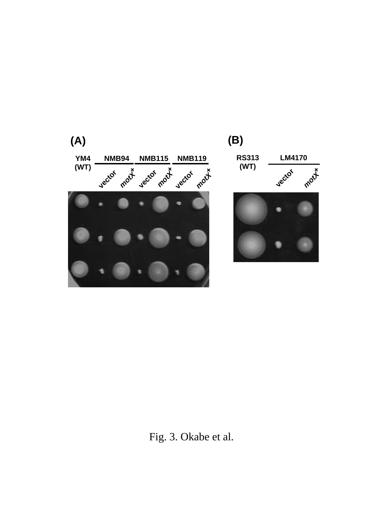

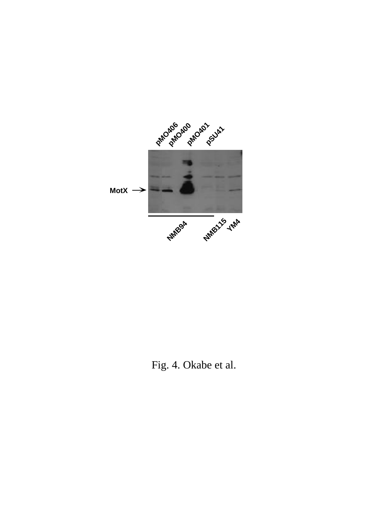

Fig. 4. Okabe et al.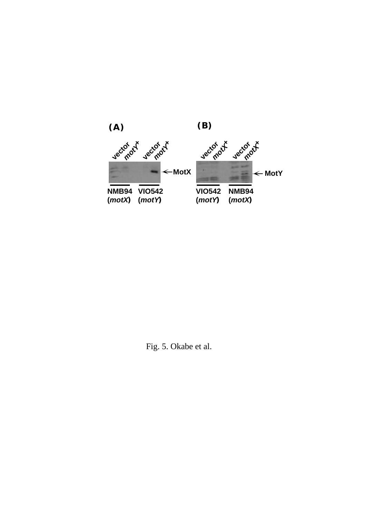

Fig. 5. Okabe et al.